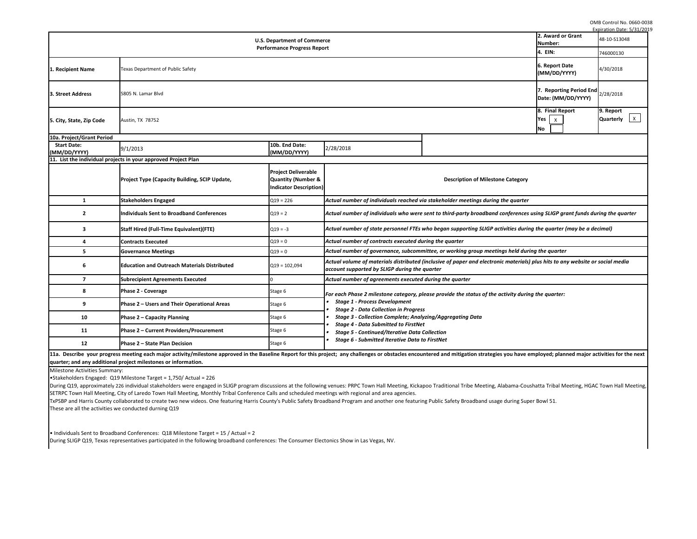OMB Control No. 0660-0038

|                                                                                                                                                                                                                                                                                                                                                                                                                                      |                                          |                                                     | Expiration Date: 5/31/2019  |
|--------------------------------------------------------------------------------------------------------------------------------------------------------------------------------------------------------------------------------------------------------------------------------------------------------------------------------------------------------------------------------------------------------------------------------------|------------------------------------------|-----------------------------------------------------|-----------------------------|
| ce                                                                                                                                                                                                                                                                                                                                                                                                                                   |                                          | 2. Award or Grant<br>Number:                        | 48-10-S13048                |
| rt                                                                                                                                                                                                                                                                                                                                                                                                                                   |                                          | 4. EIN:                                             | 746000130                   |
|                                                                                                                                                                                                                                                                                                                                                                                                                                      |                                          | 6. Report Date<br>(MM/DD/YYYY)                      | 4/30/2018                   |
|                                                                                                                                                                                                                                                                                                                                                                                                                                      |                                          | 7. Reporting Period End<br>Date: (MM/DD/YYYY)       | 2/28/2018                   |
|                                                                                                                                                                                                                                                                                                                                                                                                                                      |                                          | 8. Final Report<br>Yes<br>$\mathsf{x}$<br><b>No</b> | 9. Report<br>Quarterly<br>X |
| 2/28/2018                                                                                                                                                                                                                                                                                                                                                                                                                            |                                          |                                                     |                             |
|                                                                                                                                                                                                                                                                                                                                                                                                                                      | <b>Description of Milestone Category</b> |                                                     |                             |
| Actual number of individuals reached via stakeholder meetings during the quarter                                                                                                                                                                                                                                                                                                                                                     |                                          |                                                     |                             |
| Actual number of individuals who were sent to third-party broadband conferences using SLIGP grant funds during the quarter                                                                                                                                                                                                                                                                                                           |                                          |                                                     |                             |
| Actual number of state personnel FTEs who began supporting SLIGP activities during the quarter (may be a decimal)                                                                                                                                                                                                                                                                                                                    |                                          |                                                     |                             |
| Actual number of contracts executed during the quarter                                                                                                                                                                                                                                                                                                                                                                               |                                          |                                                     |                             |
| Actual number of governance, subcommittee, or working group meetings held during the quarter                                                                                                                                                                                                                                                                                                                                         |                                          |                                                     |                             |
| Actual volume of materials distributed (inclusive of paper and electronic materials) plus hits to any website or social media<br>account supported by SLIGP during the quarter                                                                                                                                                                                                                                                       |                                          |                                                     |                             |
| Actual number of agreements executed during the quarter                                                                                                                                                                                                                                                                                                                                                                              |                                          |                                                     |                             |
| For each Phase 2 milestone category, please provide the status of the activity during the quarter:<br>• Stage 1 - Process Development<br><b>Stage 2 - Data Collection in Progress</b><br>$\bullet$<br><b>Stage 3 - Collection Complete; Analyzing/Aggregating Data</b><br>$\bullet$<br>• Stage 4 - Data Submitted to FirstNet<br>• Stage 5 - Continued/Iterative Data Collection<br>• Stage 6 - Submitted Iterative Data to FirstNet |                                          |                                                     |                             |
| oject; any challenges or obstacles encountered and mitigation strategies you have employed; planned major activities for the next                                                                                                                                                                                                                                                                                                    |                                          |                                                     |                             |
| gvenues: PRPC Town Hall Meeting, Kickapoo Traditional Tribe Meeting, Alabama-Coushatta Tribal Meeting, HGAC Town Hall Meeting,<br>tings with regional and area agencies.<br>dband Program and another one featuring Public Safety Broadband usage during Super Bowl 51.                                                                                                                                                              |                                          |                                                     |                             |

• Individuals Sent to Broadband Conferences: Q18 Milestone Target = 15 / Actual = 2 During SLIGP Q19, Texas representatives participated in the following broadband conferences: The Consumer Electonics Show in Las Vegas, NV.

**quarter; and any additional project milestones or information.** 

During Q19, approximately 226 individual stakeholders were engaged in SLIGP program discussions at the following venues: PRPC Town Hall Meeting, Kickapoo Tradi SETRPC Town Hall Meeting, City of Laredo Town Hall Meeting, Monthly Tribal Conference Calls and scheduled meetings with regional and area agencies. TxPSBP and Harris County collaborated to create two new videos. One featuring Harris County's Public Safety Broadband Program and another one featuring Public Super Bowl 51. These are all the activities we conducted durning Q19

| <b>U.S. Department of Commerce</b>                            |                                                                                                                                                                                                                           |                                                                                                                |                                                                                                                                                                   |                                                                                              | 2. Award or Grant<br>Number:                  |  |  |
|---------------------------------------------------------------|---------------------------------------------------------------------------------------------------------------------------------------------------------------------------------------------------------------------------|----------------------------------------------------------------------------------------------------------------|-------------------------------------------------------------------------------------------------------------------------------------------------------------------|----------------------------------------------------------------------------------------------|-----------------------------------------------|--|--|
| <b>Performance Progress Report</b>                            |                                                                                                                                                                                                                           |                                                                                                                |                                                                                                                                                                   |                                                                                              |                                               |  |  |
| <b>Texas Department of Public Safety</b><br>1. Recipient Name |                                                                                                                                                                                                                           |                                                                                                                |                                                                                                                                                                   |                                                                                              | 6. Report Date<br>(MM/DD/YYYY)                |  |  |
| 3. Street Address                                             | 5805 N. Lamar Blvd                                                                                                                                                                                                        |                                                                                                                |                                                                                                                                                                   |                                                                                              | 7. Reporting Period End<br>Date: (MM/DD/YYYY) |  |  |
| 5. City, State, Zip Code                                      | Austin, TX 78752                                                                                                                                                                                                          |                                                                                                                |                                                                                                                                                                   |                                                                                              | 8. Final Report<br>Yes<br>X.<br> No           |  |  |
| 10a. Project/Grant Period                                     |                                                                                                                                                                                                                           |                                                                                                                |                                                                                                                                                                   |                                                                                              |                                               |  |  |
| <b>Start Date:</b><br>(MM/DD/YYYY)                            | 9/1/2013                                                                                                                                                                                                                  | 10b. End Date:<br>(MM/DD/YYYY)                                                                                 | 2/28/2018                                                                                                                                                         |                                                                                              |                                               |  |  |
|                                                               | 11. List the individual projects in your approved Project Plan                                                                                                                                                            |                                                                                                                |                                                                                                                                                                   |                                                                                              |                                               |  |  |
|                                                               | <b>Project Type (Capacity Building, SCIP Update,</b>                                                                                                                                                                      | <b>Project Deliverable</b><br><b>Quantity (Number &amp;</b><br>Indicator Description)                          |                                                                                                                                                                   | <b>Description of Milestone Category</b>                                                     |                                               |  |  |
| 1                                                             | <b>Stakeholders Engaged</b>                                                                                                                                                                                               | $Q19 = 226$                                                                                                    | Actual number of individuals reached via stakeholder meetings during the quarter                                                                                  |                                                                                              |                                               |  |  |
| $\mathbf{2}$                                                  | <b>Individuals Sent to Broadband Conferences</b>                                                                                                                                                                          | $Q19 = 2$                                                                                                      | Actual number of individuals who were sent to third-party broadband conferences using SLIGP grant funds dui                                                       |                                                                                              |                                               |  |  |
| 3                                                             | <b>Staff Hired (Full-Time Equivalent)(FTE)</b><br>$Q19 = -3$                                                                                                                                                              |                                                                                                                | Actual number of state personnel FTEs who began supporting SLIGP activities during the quarter (may be a dee                                                      |                                                                                              |                                               |  |  |
| 4                                                             | $Q19 = 0$<br><b>Contracts Executed</b>                                                                                                                                                                                    |                                                                                                                | Actual number of contracts executed during the quarter                                                                                                            |                                                                                              |                                               |  |  |
|                                                               | <b>Governance Meetings</b>                                                                                                                                                                                                | $Q19 = 0$                                                                                                      |                                                                                                                                                                   | Actual number of governance, subcommittee, or working group meetings held during the quarter |                                               |  |  |
| 6                                                             | <b>Education and Outreach Materials Distributed</b>                                                                                                                                                                       | $Q19 = 102,094$                                                                                                | Actual volume of materials distributed (inclusive of paper and electronic materials) plus hits to any website or<br>account supported by SLIGP during the quarter |                                                                                              |                                               |  |  |
| $\overline{\mathbf{z}}$                                       | <b>Subrecipient Agreements Executed</b>                                                                                                                                                                                   |                                                                                                                | Actual number of agreements executed during the quarter                                                                                                           |                                                                                              |                                               |  |  |
| 8                                                             | <b>Phase 2 - Coverage</b>                                                                                                                                                                                                 | Stage 6                                                                                                        | For each Phase 2 milestone category, please provide the status of the activity during the quarter:                                                                |                                                                                              |                                               |  |  |
| 9                                                             | Phase 2 – Users and Their Operational Areas                                                                                                                                                                               | Stage 6                                                                                                        | <b>Stage 1 - Process Development</b>                                                                                                                              |                                                                                              |                                               |  |  |
| 10                                                            | Phase 2 - Capacity Planning                                                                                                                                                                                               | Stage 6                                                                                                        | <b>Stage 2 - Data Collection in Progress</b><br><b>Stage 3 - Collection Complete; Analyzing/Aggregating Data</b>                                                  |                                                                                              |                                               |  |  |
| <b>11</b>                                                     | Phase 2 - Current Providers/Procurement                                                                                                                                                                                   | <b>Stage 4 - Data Submitted to FirstNet</b><br>Stage 6<br><b>Stage 5 - Continued/Iterative Data Collection</b> |                                                                                                                                                                   |                                                                                              |                                               |  |  |
| 12                                                            | <b>Stage 6 - Submitted Iterative Data to FirstNet</b><br>Phase 2 - State Plan Decision<br>Stage 6                                                                                                                         |                                                                                                                |                                                                                                                                                                   |                                                                                              |                                               |  |  |
|                                                               | 11a. Describe your progress meeting each major activity/milestone approved in the Baseline Report for this project; any challenges or obstacles encountered and mitigation strategies you have employed; planned major ac |                                                                                                                |                                                                                                                                                                   |                                                                                              |                                               |  |  |

Milestone Activities Summary:

•Stakeholders Engaged: Q19 Milestone Target = 1,750/ Actual = 226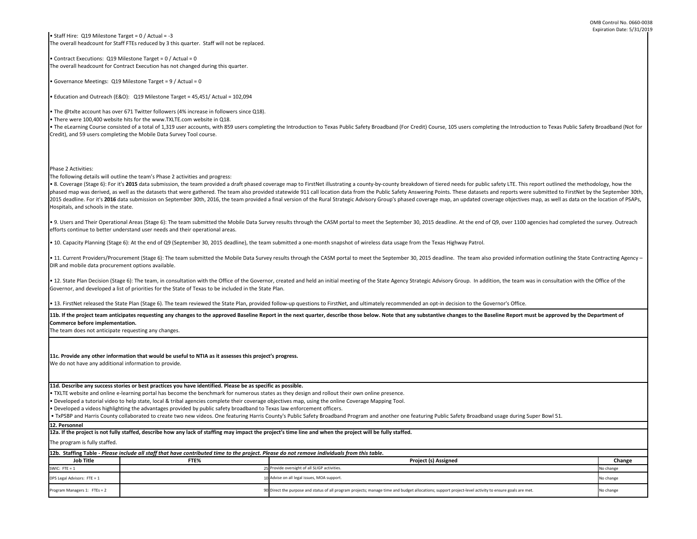| The program is fully staffed. |                                                                                                                                             |                                                                                                                                                       |           |
|-------------------------------|---------------------------------------------------------------------------------------------------------------------------------------------|-------------------------------------------------------------------------------------------------------------------------------------------------------|-----------|
|                               | 12b. Staffing Table - Please include all staff that have contributed time to the project. Please do not remove individuals from this table. |                                                                                                                                                       |           |
| <b>Job Title</b>              | FTE%                                                                                                                                        | <b>Project (s) Assigned</b>                                                                                                                           | Change    |
| SWIC: $FTE = 1$               |                                                                                                                                             | 25 Provide oversight of all SLIGP activities.                                                                                                         | No change |
| DPS Legal Advisors: FTE = 1   |                                                                                                                                             | 10 Advise on all legal issues, MOA support.                                                                                                           | No change |
| Program Managers 1: FTEs = 2  |                                                                                                                                             | 90 Direct the purpose and status of all program projects; manage time and budget allocations; support project-level activity to ensure goals are met. | No change |

11b. If the project team anticipates requesting any changes to the approved Baseline Report in the next quarter, describe those below. Note that any substantive changes to the Baseline Report must be approved by the Depart **Commerce before implementation.** 

The team does not anticipate requesting any changes.

• TXLTE website and online e-learning portal has become the benchmark for numerous states as they design and rollout their own online presence.

• Developed a tutorial video to help state, local & tribal agencies complete their coverage objectives map, using the online Coverage Mapping Tool.

• Developed a videos highlighting the advantages provided by public safety broadband to Texas law enforcement officers.

• The eLearning Course consisted of a total of 1,319 user accounts, with 859 users completing the Introduction to Texas Public Safety Broadband (For Credit) Course, 105 users completing the Introduction to Texas Public Saf Credit), and 59 users completing the Mobile Data Survey Tool course.

**11d. Describe any success stories or best practices you have identified. Please be as specific as possible.**

**11c. Provide any other information that would be useful to NTIA as it assesses this project's progress.** 

We do not have any additional information to provide.

• Staff Hire: Q19 Milestone Target = 0 / Actual = -3 The overall headcount for Staff FTEs reduced by 3 this quarter. Staff will not be replaced.

• 8. Coverage (Stage 6): For it's 2015 data submission, the team provided a draft phased coverage map to FirstNet illustrating a county-by-county breakdown of tiered needs for public safety LTE. This report outlined the me phased map was derived, as well as the datasets that were gathered. The team also provided statewide 911 call location data from the Public Safety Answering Points. These datasets and reports were submitted to FirstNet by 2015 deadline. For it's 2016 data submission on September 30th, 2016, the team provided a final version of the Rural Strategic Advisory Group's phased coverage map, an updated coverage objectives map, as well as data on th Hospitals, and schools in the state.

• Contract Executions: Q19 Milestone Target = 0 / Actual = 0 The overall headcount for Contract Execution has not changed during this quarter.

• 9. Users and Their Operational Areas (Stage 6): The team submitted the Mobile Data Survey results through the CASM portal to meet the September 30, 2015 deadline. At the end of Q9, over 1100 agencies had completed the su efforts continue to better understand user needs and their operational areas.

• Governance Meetings: Q19 Milestone Target = 9 / Actual = 0

• Education and Outreach (E&O): Q19 Milestone Target = 45,451/ Actual = 102,094

• 11. Current Providers/Procurement (Stage 6): The team submitted the Mobile Data Survey results through the CASM portal to meet the September 30, 2015 deadline. The team also provided information outlining the State Contr DIR and mobile data procurement options available.

• The @txlte account has over 671 Twitter followers (4% increase in followers since Q18).

• There were 100,400 website hits for the www.TXLTE.com website in Q18.

• 12. State Plan Decision (Stage 6): The team, in consultation with the Office of the Governor, created and held an initial meeting of the State Agency Strategic Advisory Group. In addition, the team was in consultation wi Governor, and developed a list of priorities for the State of Texas to be included in the State Plan.

Phase 2 Activities:

**Job Title FTE% Change**  SWIC: FTE = 1 25 Provide oversight of all SLIGP activities. No change and the state of the state of the state of the state of the state of the state of the state of the state of the state of the state of the state of the s DPS Legal Advisors: FTE = 1 10  $\blacksquare$  Advise on all legal issues, MOA support. No change on all legal issues, MOA support. **Project (s) Asst 12b. Staffing Table -** *Please include all staff that have contributed time to the project. Please do not remove individuals from this table.* The program is fully staffed. **12a. If the project is not fully staffed, describe how any lack of staffing may impact the project's time line and when the project will be fully staffed.**

The following details will outline the team's Phase 2 activities and progress:

 • TxPSBP and Harris County collaborated to create two new videos. One featuring Harris County's Public Safety Broadband Program and another one featuring Public Safety Broadband usage during Super Bowl 51. **12. Personnel** 

• 10. Capacity Planning (Stage 6): At the end of Q9 (September 30, 2015 deadline), the team submitted a one-month snapshot of wireless data usage from the Texas Highway Patrol.

• 13. FirstNet released the State Plan (Stage 6). The team reviewed the State Plan, provided follow-up questions to FirstNet, and ultimately recommended an opt-in decision to the Governor's Office.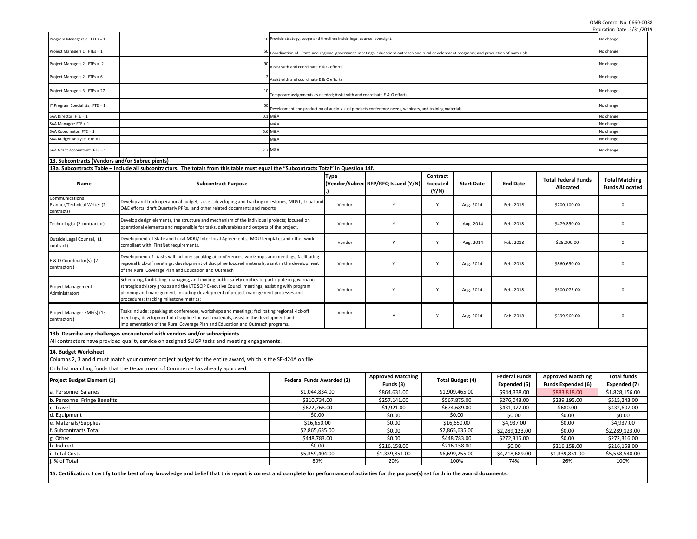|                                                             |                                                                                                                                                                                                                                                                                                                                        |                                                                                                                                          |             |                                                                                                         |                                      |                         |                      |                                                | Expiration Date: 5/31/2019                      |
|-------------------------------------------------------------|----------------------------------------------------------------------------------------------------------------------------------------------------------------------------------------------------------------------------------------------------------------------------------------------------------------------------------------|------------------------------------------------------------------------------------------------------------------------------------------|-------------|---------------------------------------------------------------------------------------------------------|--------------------------------------|-------------------------|----------------------|------------------------------------------------|-------------------------------------------------|
| Program Managers 2: FTEs = 1                                |                                                                                                                                                                                                                                                                                                                                        | 10 Provide strategy, scope and timeline; inside legal counsel oversight.                                                                 |             |                                                                                                         |                                      |                         |                      |                                                | No change                                       |
| Project Managers 1: FTEs = 1                                |                                                                                                                                                                                                                                                                                                                                        | Coordination of: State and regional governance meetings; education/outreach and rural development programs; and production of materials. |             |                                                                                                         |                                      |                         |                      | No change                                      |                                                 |
| Project Managers 2: FTEs = 2                                |                                                                                                                                                                                                                                                                                                                                        | Assist with and coordinate E & O efforts                                                                                                 |             |                                                                                                         |                                      |                         | No change            |                                                |                                                 |
| Project Managers 2: FTEs = 6                                |                                                                                                                                                                                                                                                                                                                                        | Assist with and coordinate E & O efforts                                                                                                 |             |                                                                                                         |                                      |                         |                      | No change                                      |                                                 |
| Project Managers 3: FTEs = 27                               |                                                                                                                                                                                                                                                                                                                                        | Temporary assignments as needed; Assist with and coordinate E & O efforts                                                                |             |                                                                                                         |                                      |                         |                      |                                                | No change                                       |
| IT Program Specialists: FTE = $1$                           |                                                                                                                                                                                                                                                                                                                                        |                                                                                                                                          |             | Development and production of audio-visual products conference needs, webinars, and training materials. |                                      |                         |                      |                                                | No change                                       |
| SAA Director: FTE = 1                                       | 0.                                                                                                                                                                                                                                                                                                                                     | 1 M&A                                                                                                                                    |             |                                                                                                         |                                      |                         |                      |                                                | No change                                       |
| SAA Manager: FTE = 1                                        |                                                                                                                                                                                                                                                                                                                                        | M&A                                                                                                                                      |             |                                                                                                         |                                      |                         |                      |                                                | No change                                       |
| SAA Coordinator: FTE = 1                                    |                                                                                                                                                                                                                                                                                                                                        | 6.6 M&A                                                                                                                                  |             |                                                                                                         |                                      |                         |                      |                                                | No change                                       |
| SAA Budget Analyst: FTE = 1                                 |                                                                                                                                                                                                                                                                                                                                        | M&A                                                                                                                                      |             |                                                                                                         |                                      |                         |                      |                                                | No change                                       |
| SAA Grant Accountant: FTE = 1                               |                                                                                                                                                                                                                                                                                                                                        | 2.7 M&A                                                                                                                                  |             |                                                                                                         |                                      |                         |                      |                                                | No change                                       |
| 13. Subcontracts (Vendors and/or Subrecipients)             |                                                                                                                                                                                                                                                                                                                                        |                                                                                                                                          |             |                                                                                                         |                                      |                         |                      |                                                |                                                 |
|                                                             | 13a. Subcontracts Table - Include all subcontractors. The totals from this table must equal the "Subcontracts Total" in Question 14f.                                                                                                                                                                                                  |                                                                                                                                          |             |                                                                                                         |                                      |                         |                      |                                                |                                                 |
| <b>Name</b>                                                 | <b>Subcontract Purpose</b>                                                                                                                                                                                                                                                                                                             |                                                                                                                                          | <b>Type</b> | Vendor/Subrec RFP/RFQ Issued (Y/N)                                                                      | Contract<br><b>Executed</b><br>(Y/N) | <b>Start Date</b>       | <b>End Date</b>      | <b>Total Federal Funds</b><br><b>Allocated</b> | <b>Total Matching</b><br><b>Funds Allocated</b> |
| Communications<br>Planner/Technical Writer (2<br>contracts) | Develop and track operational budget; assist developing and tracking milestones, MDST, Tribal and<br>O&E efforts; draft Quarterly PPRs, and other related documents and reports                                                                                                                                                        |                                                                                                                                          | Vendor      |                                                                                                         | <b>Y</b>                             | Aug. 2014               | Feb. 2018            | \$200,100.00                                   | 0                                               |
| Technologist (2 contractor)                                 | Develop design elements, the structure and mechanism of the individual projects; focused on<br>operational elements and responsible for tasks, deliverables and outputs of the project.                                                                                                                                                |                                                                                                                                          | Vendor      |                                                                                                         | $\mathsf{Y}$                         | Aug. 2014               | Feb. 2018            | \$479,850.00                                   | 0                                               |
| Outside Legal Counsel, (1<br>contract)                      | Development of State and Local MOU/ Inter-local Agreements, MOU template; and other work<br>compliant with FirstNet requirements.                                                                                                                                                                                                      |                                                                                                                                          | Vendor      |                                                                                                         | v                                    | Aug. 2014               | Feb. 2018            | \$25,000.00                                    | 0                                               |
| E & O Coordinator(s), (2<br>contractors)                    | Development of tasks will include: speaking at conferences, workshops and meetings; facilitating<br>regional kick-off meetings, development of discipline focused materials, assist in the development<br>of the Rural Coverage Plan and Education and Outreach                                                                        |                                                                                                                                          | Vendor      |                                                                                                         | $\mathsf{Y}$                         | Aug. 2014               | Feb. 2018            | \$860,650.00                                   |                                                 |
| <b>Project Management</b><br>Administrators                 | Scheduling, facilitating, managing, and inviting public safety entities to participate in governance<br>strategic advisory groups and the LTE SCIP Executive Council meetings; assisting with program<br>planning and management, including development of project management processes and<br>procedures; tracking milestone metrics; |                                                                                                                                          | Vendor      |                                                                                                         | Y                                    | Aug. 2014               | Feb. 2018            | \$600,075.00                                   |                                                 |
| Project Manager SME(s) (15<br>contractors)                  | Tasks include: speaking at conferences, workshops and meetings; facilitating regional kick-off<br>meetings, development of discipline focused materials, assist in the development and<br>implementation of the Rural Coverage Plan and Education and Outreach programs.                                                               |                                                                                                                                          | Vendor      |                                                                                                         | $\mathsf{Y}$                         | Aug. 2014               | Feb. 2018            | \$699,960.00                                   | $\Omega$                                        |
| 14. Budget Worksheet                                        | 13b. Describe any challenges encountered with vendors and/or subrecipients.<br>All contractors have provided quality service on assigned SLIGP tasks and meeting engagements.                                                                                                                                                          |                                                                                                                                          |             |                                                                                                         |                                      |                         |                      |                                                |                                                 |
|                                                             | Columns 2, 3 and 4 must match your current project budget for the entire award, which is the SF-424A on file.                                                                                                                                                                                                                          |                                                                                                                                          |             |                                                                                                         |                                      |                         |                      |                                                |                                                 |
| <b>Project Budget Element (1)</b>                           | Only list matching funds that the Department of Commerce has already approved.                                                                                                                                                                                                                                                         | <b>Federal Funds Awarded (2)</b>                                                                                                         |             | <b>Approved Matching</b>                                                                                |                                      | <b>Total Budget (4)</b> | <b>Federal Funds</b> | <b>Approved Matching</b>                       | <b>Total funds</b>                              |
|                                                             |                                                                                                                                                                                                                                                                                                                                        |                                                                                                                                          |             | Funds (3)                                                                                               |                                      |                         | Expended (5)         | <b>Funds Expended (6)</b>                      | Expended (7)                                    |
| a. Personnel Salaries                                       |                                                                                                                                                                                                                                                                                                                                        | \$1,044,834.00                                                                                                                           |             | \$864,631.00                                                                                            |                                      | \$1,909,465.00          | \$944,338.00         | \$883,818.00                                   | \$1,828,156.00                                  |
| b. Personnel Fringe Benefits                                |                                                                                                                                                                                                                                                                                                                                        | \$310,734.00                                                                                                                             |             | \$257,141.00                                                                                            |                                      | \$567,875.00            | \$276,048.00         | \$239,195.00                                   | \$515,243.00                                    |
| c. Travel                                                   |                                                                                                                                                                                                                                                                                                                                        | \$672,768.00                                                                                                                             |             | \$1,921.00                                                                                              |                                      | \$674,689.00            | \$431,927.00         | \$680.00                                       | \$432,607.00                                    |
| d. Equipment                                                |                                                                                                                                                                                                                                                                                                                                        | \$0.00                                                                                                                                   |             | \$0.00                                                                                                  |                                      | \$0.00                  | \$0.00               | \$0.00                                         | \$0.00                                          |
| e. Materials/Supplies                                       |                                                                                                                                                                                                                                                                                                                                        | \$16,650.00                                                                                                                              |             | \$0.00                                                                                                  |                                      | \$16,650.00             | \$4,937.00           | \$0.00                                         | \$4,937.00                                      |
| Subcontracts Total                                          |                                                                                                                                                                                                                                                                                                                                        | \$2,865,635.00                                                                                                                           |             | \$0.00                                                                                                  |                                      | \$2,865,635.00          | \$2,289,123.00       | \$0.00                                         | \$2,289,123.00                                  |
| g. Other                                                    |                                                                                                                                                                                                                                                                                                                                        | \$448,783.00                                                                                                                             |             | \$0.00                                                                                                  |                                      | \$448,783.00            | \$272,316.00         | \$0.00                                         | \$272,316.00                                    |
| h. Indirect                                                 |                                                                                                                                                                                                                                                                                                                                        | \$0.00                                                                                                                                   |             | \$216,158.00                                                                                            |                                      | \$216,158.00            | \$0.00               | \$216,158.00                                   | \$216,158.00                                    |
| i. Total Costs                                              |                                                                                                                                                                                                                                                                                                                                        | \$5,359,404.00                                                                                                                           |             | \$1,339,851.00                                                                                          |                                      | \$6,699,255.00          | \$4,218,689.00       | \$1,339,851.00                                 | \$5,558,540.00                                  |
| j. % of Total                                               |                                                                                                                                                                                                                                                                                                                                        | 80%                                                                                                                                      |             | 20%                                                                                                     |                                      | 100%                    | 74%                  | 26%                                            | 100%                                            |
|                                                             | 15. Certification: I certify to the best of my knowledge and belief that this report is correct and complete for performance of activities for the purpose(s) set forth in the award documents.                                                                                                                                        |                                                                                                                                          |             |                                                                                                         |                                      |                         |                      |                                                |                                                 |

 $\mathcal{A}$